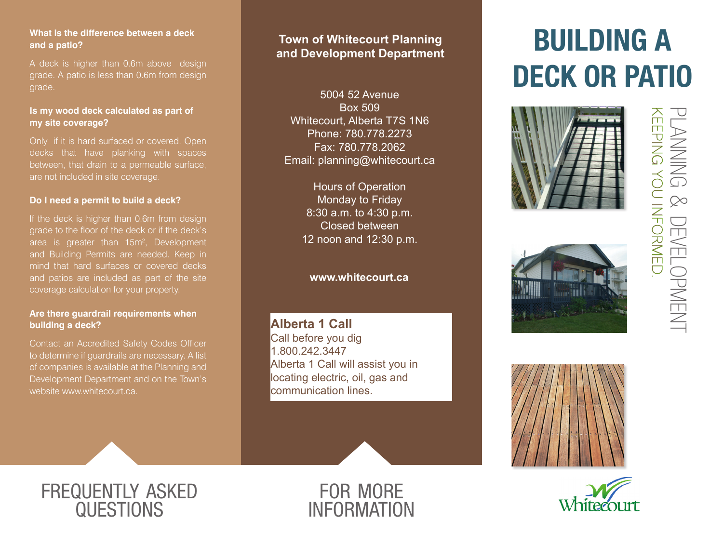### **What is the difference between a deck and a patio?**

A deck is higher than 0.6m above design grade. A patio is less than 0.6m from design grade.

### **Is my wood deck calculated as part of my site coverage?**

Only if it is hard surfaced or covered. Open decks that have planking with spaces between, that drain to a permeable surface, are not included in site coverage.

### **Do I need a permit to build a deck?**

If the deck is higher than 0.6m from design grade to the floor of the deck or if the deck's area is greater than 15m<sup>2</sup>, Development and Building Permits are needed. Keep in mind that hard surfaces or covered decks and patios are included as part of the site coverage calculation for your property.

### **Are there guardrail requirements when building a deck?**

Contact an Accredited Safety Codes Officer to determine if guardrails are necessary. A list of companies is available at the Planning and Development Department and on the Town's website www.whitecourt.ca.

### **Town of Whitecourt Planning and Development Department**

5004 52 Avenue Box 509 Whitecourt, Alberta T7S 1N6 Phone: 780.778.2273 Fax: 780.778.2062 Email: planning@whitecourt.ca

> Hours of Operation Monday to Friday 8:30 a.m. to 4:30 p.m. Closed between 12 noon and 12:30 p.m.

### **www.whitecourt.ca**

**Alberta 1 Call** Call before you dig 1.800.242.3447 Alberta 1 Call will assist you in locating electric, oil, gas and communication lines.



# BUILDING A DECK OR PATIO











### frequently asked **QUESTIONS**